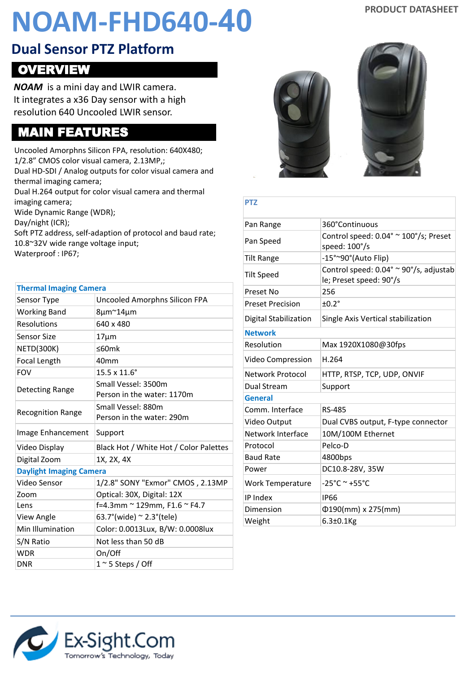# **PRODUCT DATASHEET NOAM-FHD640-40**

#### **Dual Sensor PTZ Platform**

### OVERVIEW

*NOAM* is a mini day and LWIR camera. It integrates a x36 Day sensor with a high resolution 640 Uncooled LWIR sensor.

#### MAIN FEATURES

Uncooled Amorphns Silicon FPA, resolution: 640X480; 1/2.8" CMOS color visual camera, 2.13MP,; Dual HD-SDI / Analog outputs for color visual camera and thermal imaging camera; Dual H.264 output for color visual camera and thermal imaging camera; Wide Dynamic Range (WDR); Day/night (ICR); Soft PTZ address, self-adaption of protocol and baud rate; 10.8~32V wide range voltage input; Waterproof : IP67;

| <b>Thermal Imaging Camera</b>  |                                                   |
|--------------------------------|---------------------------------------------------|
| Sensor Type                    | Uncooled Amorphns Silicon FPA                     |
| <b>Working Band</b>            | 8µm~14µm                                          |
| <b>Resolutions</b>             | 640 x 480                                         |
| Sensor Size                    | $17 \mu m$                                        |
| <b>NETD(300K)</b>              | ≤60m $k$                                          |
| <b>Focal Length</b>            | 40 <sub>mm</sub>                                  |
| <b>FOV</b>                     | $15.5 \times 11.6^{\circ}$                        |
| Detecting Range                | Small Vessel: 3500m<br>Person in the water: 1170m |
| <b>Recognition Range</b>       | Small Vessel: 880m<br>Person in the water: 290m   |
|                                |                                                   |
| Image Enhancement              | Support                                           |
| Video Display                  | Black Hot / White Hot / Color Palettes            |
| Digital Zoom                   | 1X, 2X, 4X                                        |
| <b>Daylight Imaging Camera</b> |                                                   |
| Video Sensor                   | 1/2.8" SONY "Exmor" CMOS, 2.13MP                  |
| Zoom                           | Optical: 30X, Digital: 12X                        |
| Lens                           | f=4.3mm ~ 129mm, F1.6 ~ F4.7                      |
| View Angle                     | 63.7° (wide) $\approx$ 2.3° (tele)                |
| Min Illumination               | Color: 0.0013Lux, B/W: 0.0008lux                  |
| S/N Ratio                      | Not less than 50 dB                               |
| <b>WDR</b>                     | On/Off                                            |





#### **PTZ**

| Pan Range               | 360°Continuous                                                    |
|-------------------------|-------------------------------------------------------------------|
| Pan Speed               | Control speed: 0.04° ~ 100°/s; Preset<br>speed: 100°/s            |
| Tilt Range              | -15°~90°(Auto Flip)                                               |
| Tilt Speed              | Control speed: 0.04° ~ 90°/s, adjustab<br>le; Preset speed: 90°/s |
| Preset No               | 256                                                               |
| <b>Preset Precision</b> | ±0.2 <sup>°</sup>                                                 |
| Digital Stabilization   | Single Axis Vertical stabilization                                |
| <b>Network</b>          |                                                                   |
| Resolution              | Max 1920X1080@30fps                                               |
| Video Compression       | H.264                                                             |
| Network Protocol        | HTTP, RTSP, TCP, UDP, ONVIF                                       |
| Dual Stream             | Support                                                           |
| <b>General</b>          |                                                                   |
| Comm. Interface         | RS-485                                                            |
| Video Output            | Dual CVBS output, F-type connector                                |
| Network Interface       | 10M/100M Ethernet                                                 |
| Protocol                | Pelco-D                                                           |
| <b>Baud Rate</b>        | 4800bps                                                           |
| Power                   | DC10.8-28V, 35W                                                   |
| <b>Work Temperature</b> | $-25^{\circ}$ C ~ +55 $^{\circ}$ C                                |
| IP Index                | <b>IP66</b>                                                       |
| Dimension               | $\Phi$ 190(mm) x 275(mm)                                          |
| Weight                  | $6.3 \pm 0.1$ Kg                                                  |